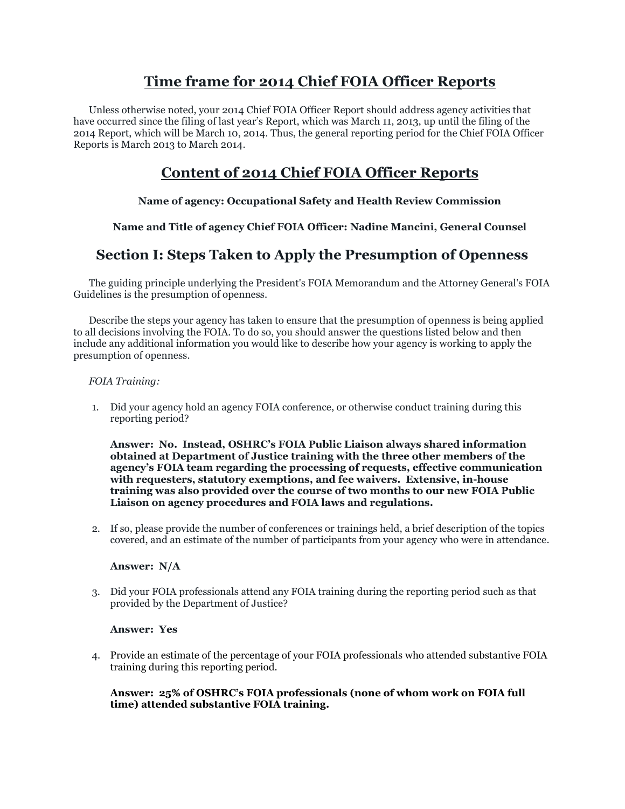# **Time frame for 2014 Chief FOIA Officer Reports**

Unless otherwise noted, your 2014 Chief FOIA Officer Report should address agency activities that have occurred since the filing of last year's Report, which was March 11, 2013, up until the filing of the 2014 Report, which will be March 10, 2014. Thus, the general reporting period for the Chief FOIA Officer Reports is March 2013 to March 2014.

# **Content of 2014 Chief FOIA Officer Reports**

# **Name of agency: Occupational Safety and Health Review Commission**

# **Name and Title of agency Chief FOIA Officer: Nadine Mancini, General Counsel**

# **Section I: Steps Taken to Apply the Presumption of Openness**

The guiding principle underlying the President's FOIA Memorandum and the Attorney General's FOIA Guidelines is the presumption of openness.

Describe the steps your agency has taken to ensure that the presumption of openness is being applied to all decisions involving the FOIA. To do so, you should answer the questions listed below and then include any additional information you would like to describe how your agency is working to apply the presumption of openness.

### *FOIA Training:*

1. Did your agency hold an agency FOIA conference, or otherwise conduct training during this reporting period?

**Answer: No. Instead, OSHRC's FOIA Public Liaison always shared information obtained at Department of Justice training with the three other members of the agency's FOIA team regarding the processing of requests, effective communication with requesters, statutory exemptions, and fee waivers. Extensive, in-house training was also provided over the course of two months to our new FOIA Public Liaison on agency procedures and FOIA laws and regulations.**

2. If so, please provide the number of conferences or trainings held, a brief description of the topics covered, and an estimate of the number of participants from your agency who were in attendance.

#### **Answer: N/A**

3. Did your FOIA professionals attend any FOIA training during the reporting period such as that provided by the Department of Justice?

#### **Answer: Yes**

4. Provide an estimate of the percentage of your FOIA professionals who attended substantive FOIA training during this reporting period.

### **Answer: 25% of OSHRC's FOIA professionals (none of whom work on FOIA full time) attended substantive FOIA training.**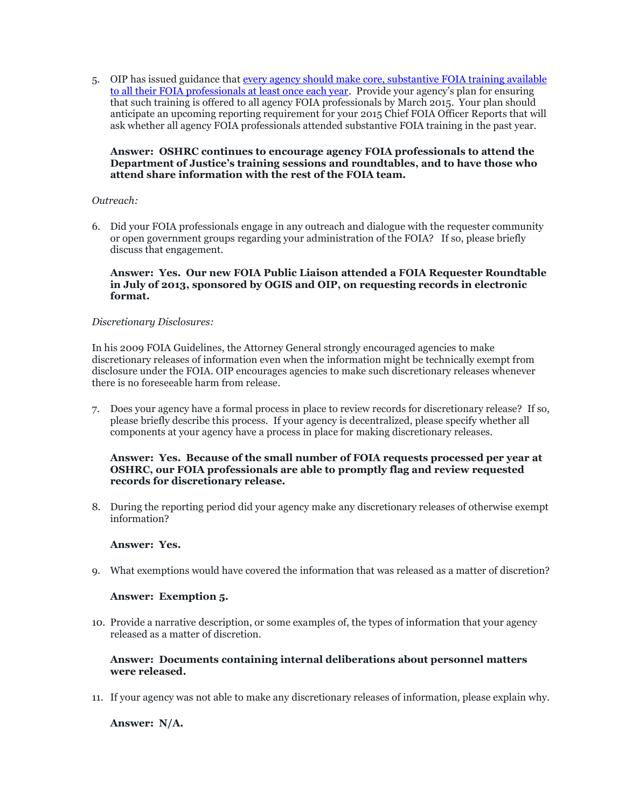5. OIP has issued guidance that every agency should make core, substantive FOIA training available [to all their FOIA professionals at least once each year.](http://www.justice.gov/oip/foiapost/2013foiapost04.html) Provide your agency's plan for ensuring that such training is offered to all agency FOIA professionals by March 2015. Your plan should anticipate an upcoming reporting requirement for your 2015 Chief FOIA Officer Reports that will ask whether all agency FOIA professionals attended substantive FOIA training in the past year.

#### **Answer: OSHRC continues to encourage agency FOIA professionals to attend the Department of Justice's training sessions and roundtables, and to have those who attend share information with the rest of the FOIA team.**

#### *Outreach:*

6. Did your FOIA professionals engage in any outreach and dialogue with the requester community or open government groups regarding your administration of the FOIA? If so, please briefly discuss that engagement.

#### **Answer: Yes. Our new FOIA Public Liaison attended a FOIA Requester Roundtable in July of 2013, sponsored by OGIS and OIP, on requesting records in electronic format.**

#### *Discretionary Disclosures:*

In his 2009 FOIA Guidelines, the Attorney General strongly encouraged agencies to make discretionary releases of information even when the information might be technically exempt from disclosure under the FOIA. OIP encourages agencies to make such discretionary releases whenever there is no foreseeable harm from release.

7. Does your agency have a formal process in place to review records for discretionary release? If so, please briefly describe this process. If your agency is decentralized, please specify whether all components at your agency have a process in place for making discretionary releases.

### **Answer: Yes. Because of the small number of FOIA requests processed per year at OSHRC, our FOIA professionals are able to promptly flag and review requested records for discretionary release.**

8. During the reporting period did your agency make any discretionary releases of otherwise exempt information?

#### **Answer: Yes.**

9. What exemptions would have covered the information that was released as a matter of discretion?

#### **Answer: Exemption 5.**

10. Provide a narrative description, or some examples of, the types of information that your agency released as a matter of discretion.

#### **Answer: Documents containing internal deliberations about personnel matters were released.**

11. If your agency was not able to make any discretionary releases of information, please explain why.

**Answer: N/A.**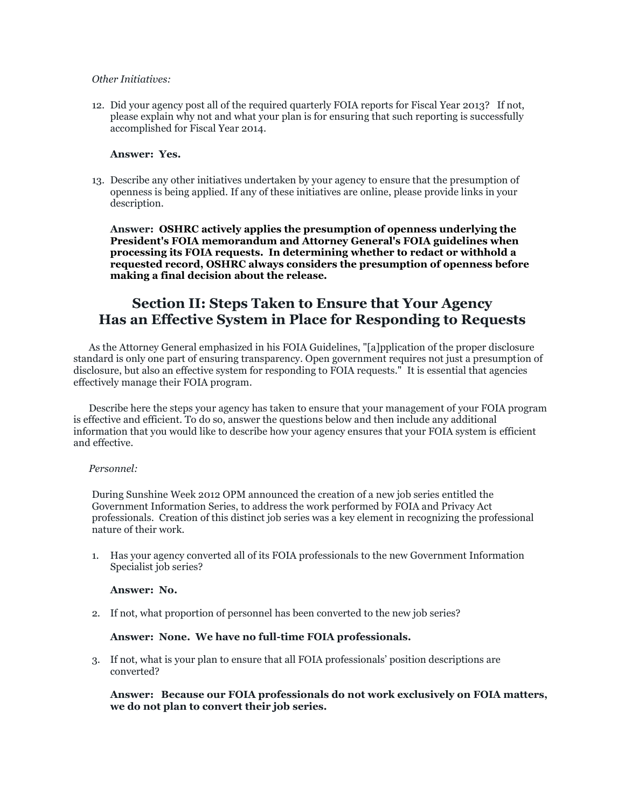#### *Other Initiatives:*

12. Did your agency post all of the required quarterly FOIA reports for Fiscal Year 2013? If not, please explain why not and what your plan is for ensuring that such reporting is successfully accomplished for Fiscal Year 2014.

#### **Answer: Yes.**

13. Describe any other initiatives undertaken by your agency to ensure that the presumption of openness is being applied. If any of these initiatives are online, please provide links in your description.

**Answer: OSHRC actively applies the presumption of openness underlying the President's FOIA memorandum and Attorney General's FOIA guidelines when processing its FOIA requests. In determining whether to redact or withhold a requested record, OSHRC always considers the presumption of openness before making a final decision about the release.**

# **Section II: Steps Taken to Ensure that Your Agency Has an Effective System in Place for Responding to Requests**

As the Attorney General emphasized in his FOIA Guidelines, "[a]pplication of the proper disclosure standard is only one part of ensuring transparency. Open government requires not just a presumption of disclosure, but also an effective system for responding to FOIA requests." It is essential that agencies effectively manage their FOIA program.

Describe here the steps your agency has taken to ensure that your management of your FOIA program is effective and efficient. To do so, answer the questions below and then include any additional information that you would like to describe how your agency ensures that your FOIA system is efficient and effective.

#### *Personnel:*

During Sunshine Week 2012 OPM announced the creation of a new job series entitled the Government Information Series, to address the work performed by FOIA and Privacy Act professionals. Creation of this distinct job series was a key element in recognizing the professional nature of their work.

1. Has your agency converted all of its FOIA professionals to the new Government Information Specialist job series?

#### **Answer: No.**

2. If not, what proportion of personnel has been converted to the new job series?

#### **Answer: None. We have no full-time FOIA professionals.**

3. If not, what is your plan to ensure that all FOIA professionals' position descriptions are converted?

**Answer: Because our FOIA professionals do not work exclusively on FOIA matters, we do not plan to convert their job series.**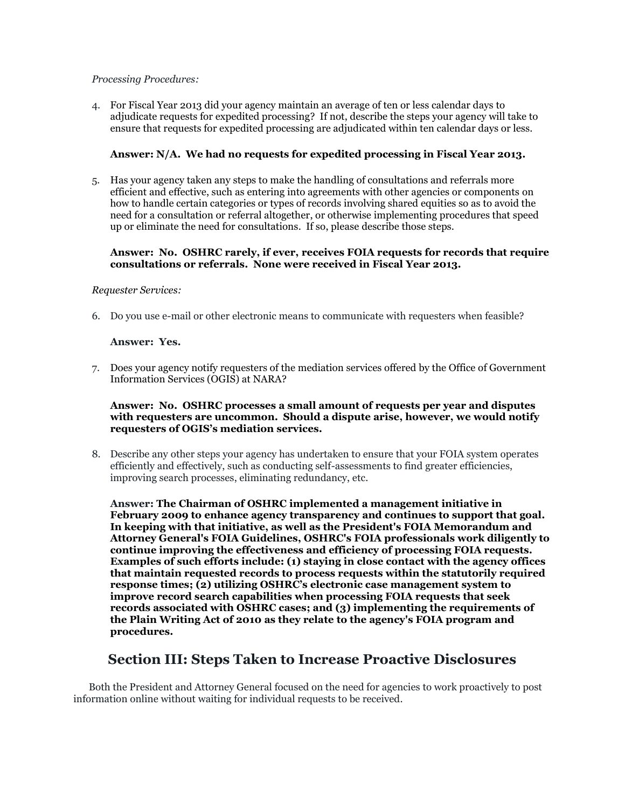#### *Processing Procedures:*

4. For Fiscal Year 2013 did your agency maintain an average of ten or less calendar days to adjudicate requests for expedited processing? If not, describe the steps your agency will take to ensure that requests for expedited processing are adjudicated within ten calendar days or less.

### **Answer: N/A. We had no requests for expedited processing in Fiscal Year 2013.**

5. Has your agency taken any steps to make the handling of consultations and referrals more efficient and effective, such as entering into agreements with other agencies or components on how to handle certain categories or types of records involving shared equities so as to avoid the need for a consultation or referral altogether, or otherwise implementing procedures that speed up or eliminate the need for consultations. If so, please describe those steps.

#### **Answer: No. OSHRC rarely, if ever, receives FOIA requests for records that require consultations or referrals. None were received in Fiscal Year 2013.**

#### *Requester Services:*

6. Do you use e-mail or other electronic means to communicate with requesters when feasible?

### **Answer: Yes.**

7. Does your agency notify requesters of the mediation services offered by the Office of Government Information Services (OGIS) at NARA?

#### **Answer: No. OSHRC processes a small amount of requests per year and disputes with requesters are uncommon. Should a dispute arise, however, we would notify requesters of OGIS's mediation services.**

8. Describe any other steps your agency has undertaken to ensure that your FOIA system operates efficiently and effectively, such as conducting self-assessments to find greater efficiencies, improving search processes, eliminating redundancy, etc.

**Answer: The Chairman of OSHRC implemented a management initiative in February 2009 to enhance agency transparency and continues to support that goal. In keeping with that initiative, as well as the President's FOIA Memorandum and Attorney General's FOIA Guidelines, OSHRC's FOIA professionals work diligently to continue improving the effectiveness and efficiency of processing FOIA requests. Examples of such efforts include: (1) staying in close contact with the agency offices that maintain requested records to process requests within the statutorily required response times; (2) utilizing OSHRC's electronic case management system to improve record search capabilities when processing FOIA requests that seek records associated with OSHRC cases; and (3) implementing the requirements of the Plain Writing Act of 2010 as they relate to the agency's FOIA program and procedures.** 

# **Section III: Steps Taken to Increase Proactive Disclosures**

Both the President and Attorney General focused on the need for agencies to work proactively to post information online without waiting for individual requests to be received.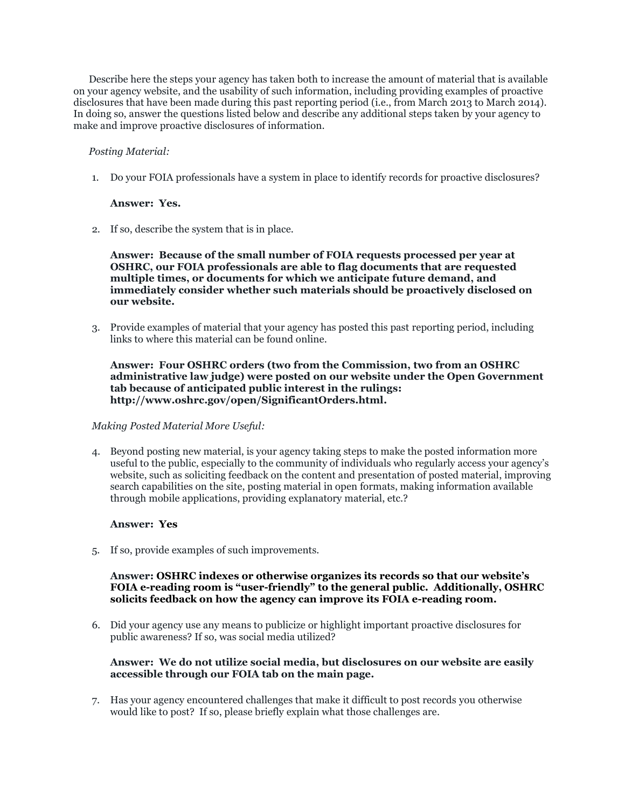Describe here the steps your agency has taken both to increase the amount of material that is available on your agency website, and the usability of such information, including providing examples of proactive disclosures that have been made during this past reporting period (i.e., from March 2013 to March 2014). In doing so, answer the questions listed below and describe any additional steps taken by your agency to make and improve proactive disclosures of information.

#### *Posting Material:*

1. Do your FOIA professionals have a system in place to identify records for proactive disclosures?

#### **Answer: Yes.**

2. If so, describe the system that is in place.

#### **Answer: Because of the small number of FOIA requests processed per year at OSHRC, our FOIA professionals are able to flag documents that are requested multiple times, or documents for which we anticipate future demand, and immediately consider whether such materials should be proactively disclosed on our website.**

3. Provide examples of material that your agency has posted this past reporting period, including links to where this material can be found online.

#### **Answer: Four OSHRC orders (two from the Commission, two from an OSHRC administrative law judge) were posted on our website under the Open Government tab because of anticipated public interest in the rulings: http://www.oshrc.gov/open/SignificantOrders.html.**

#### *Making Posted Material More Useful:*

4. Beyond posting new material, is your agency taking steps to make the posted information more useful to the public, especially to the community of individuals who regularly access your agency's website, such as soliciting feedback on the content and presentation of posted material, improving search capabilities on the site, posting material in open formats, making information available through mobile applications, providing explanatory material, etc.?

# **Answer: Yes**

5. If so, provide examples of such improvements.

### **Answer: OSHRC indexes or otherwise organizes its records so that our website's FOIA e-reading room is "user-friendly" to the general public. Additionally, OSHRC solicits feedback on how the agency can improve its FOIA e-reading room.**

6. Did your agency use any means to publicize or highlight important proactive disclosures for public awareness? If so, was social media utilized?

### **Answer: We do not utilize social media, but disclosures on our website are easily accessible through our FOIA tab on the main page.**

7. Has your agency encountered challenges that make it difficult to post records you otherwise would like to post? If so, please briefly explain what those challenges are.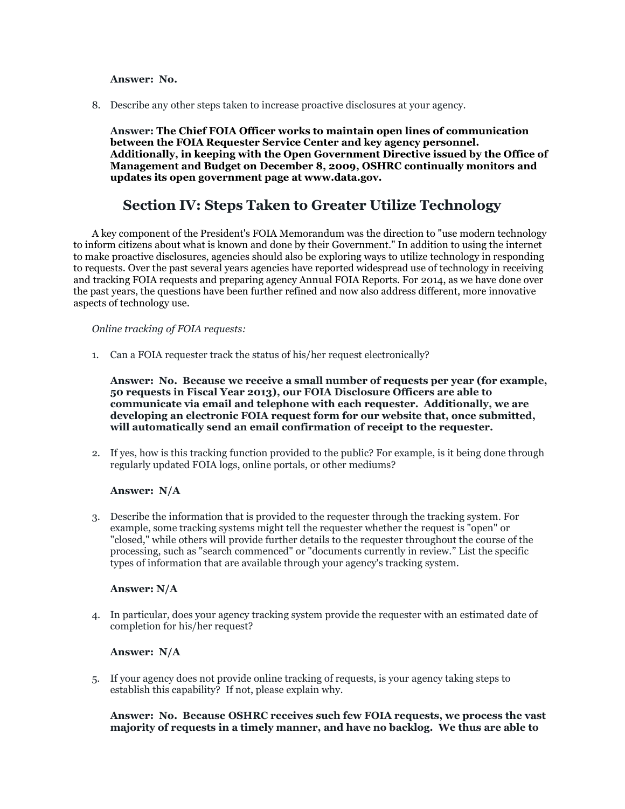#### **Answer: No.**

8. Describe any other steps taken to increase proactive disclosures at your agency.

**Answer: The Chief FOIA Officer works to maintain open lines of communication between the FOIA Requester Service Center and key agency personnel. Additionally, in keeping with the Open Government Directive issued by the Office of Management and Budget on December 8, 2009, OSHRC continually monitors and updates its open government page at www.data.gov.**

# **Section IV: Steps Taken to Greater Utilize Technology**

A key component of the President's FOIA Memorandum was the direction to "use modern technology to inform citizens about what is known and done by their Government." In addition to using the internet to make proactive disclosures, agencies should also be exploring ways to utilize technology in responding to requests. Over the past several years agencies have reported widespread use of technology in receiving and tracking FOIA requests and preparing agency Annual FOIA Reports. For 2014, as we have done over the past years, the questions have been further refined and now also address different, more innovative aspects of technology use.

#### *Online tracking of FOIA requests:*

1. Can a FOIA requester track the status of his/her request electronically?

**Answer: No. Because we receive a small number of requests per year (for example, 50 requests in Fiscal Year 2013), our FOIA Disclosure Officers are able to communicate via email and telephone with each requester. Additionally, we are developing an electronic FOIA request form for our website that, once submitted, will automatically send an email confirmation of receipt to the requester.**

2. If yes, how is this tracking function provided to the public? For example, is it being done through regularly updated FOIA logs, online portals, or other mediums?

#### **Answer: N/A**

3. Describe the information that is provided to the requester through the tracking system. For example, some tracking systems might tell the requester whether the request is "open" or "closed," while others will provide further details to the requester throughout the course of the processing, such as "search commenced" or "documents currently in review." List the specific types of information that are available through your agency's tracking system.

#### **Answer: N/A**

4. In particular, does your agency tracking system provide the requester with an estimated date of completion for his/her request?

#### **Answer: N/A**

5. If your agency does not provide online tracking of requests, is your agency taking steps to establish this capability? If not, please explain why.

#### **Answer: No. Because OSHRC receives such few FOIA requests, we process the vast majority of requests in a timely manner, and have no backlog. We thus are able to**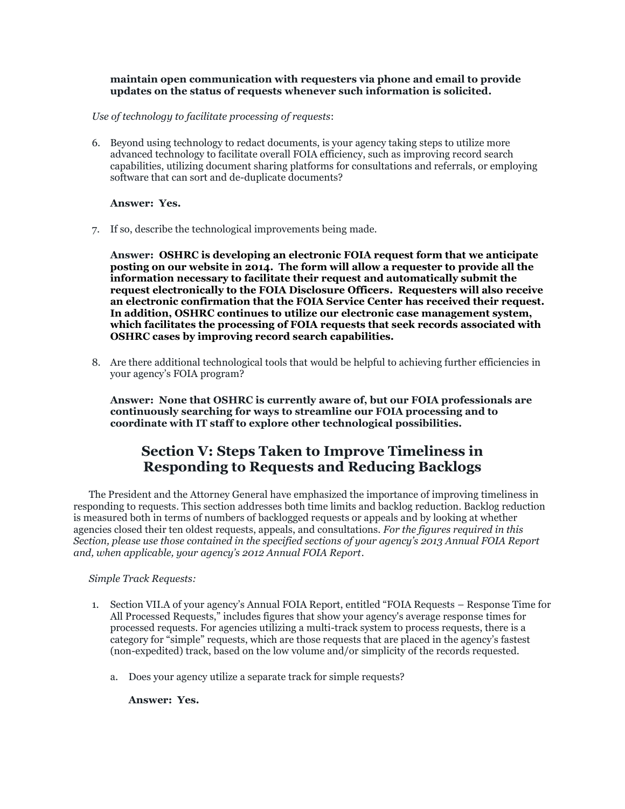#### **maintain open communication with requesters via phone and email to provide updates on the status of requests whenever such information is solicited.**

*Use of technology to facilitate processing of requests*:

6. Beyond using technology to redact documents, is your agency taking steps to utilize more advanced technology to facilitate overall FOIA efficiency, such as improving record search capabilities, utilizing document sharing platforms for consultations and referrals, or employing software that can sort and de-duplicate documents?

**Answer: Yes.** 

7. If so, describe the technological improvements being made.

**Answer: OSHRC is developing an electronic FOIA request form that we anticipate posting on our website in 2014. The form will allow a requester to provide all the information necessary to facilitate their request and automatically submit the request electronically to the FOIA Disclosure Officers. Requesters will also receive an electronic confirmation that the FOIA Service Center has received their request. In addition, OSHRC continues to utilize our electronic case management system, which facilitates the processing of FOIA requests that seek records associated with OSHRC cases by improving record search capabilities.**

8. Are there additional technological tools that would be helpful to achieving further efficiencies in your agency's FOIA program?

**Answer: None that OSHRC is currently aware of, but our FOIA professionals are continuously searching for ways to streamline our FOIA processing and to coordinate with IT staff to explore other technological possibilities.**

# **Section V: Steps Taken to Improve Timeliness in Responding to Requests and Reducing Backlogs**

The President and the Attorney General have emphasized the importance of improving timeliness in responding to requests. This section addresses both time limits and backlog reduction. Backlog reduction is measured both in terms of numbers of backlogged requests or appeals and by looking at whether agencies closed their ten oldest requests, appeals, and consultations. *For the figures required in this Section, please use those contained in the specified sections of your agency's 2013 Annual FOIA Report and, when applicable, your agency's 2012 Annual FOIA Report.*

*Simple Track Requests:*

- 1. Section VII.A of your agency's Annual FOIA Report, entitled "FOIA Requests Response Time for All Processed Requests," includes figures that show your agency's average response times for processed requests. For agencies utilizing a multi-track system to process requests, there is a category for "simple" requests, which are those requests that are placed in the agency's fastest (non-expedited) track, based on the low volume and/or simplicity of the records requested.
	- a. Does your agency utilize a separate track for simple requests?

**Answer: Yes.**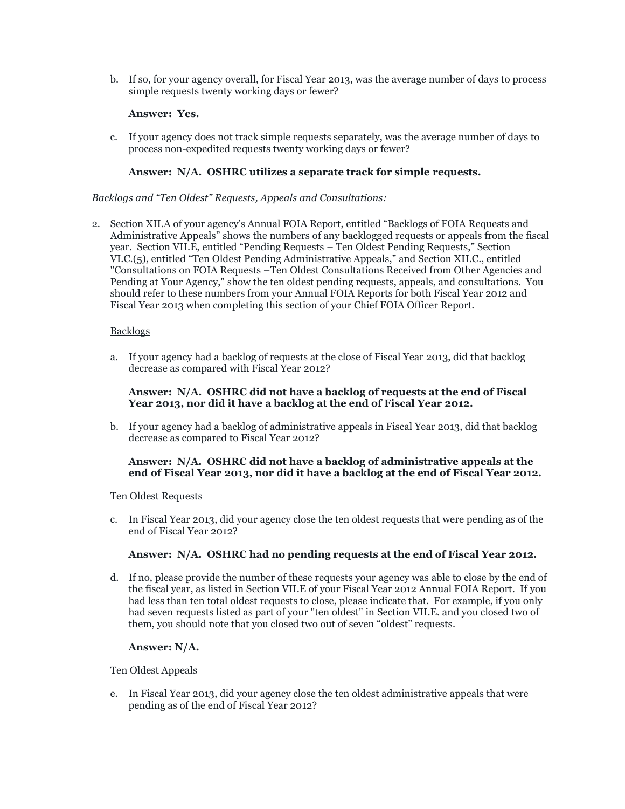b. If so, for your agency overall, for Fiscal Year 2013, was the average number of days to process simple requests twenty working days or fewer?

#### **Answer: Yes.**

c. If your agency does not track simple requests separately, was the average number of days to process non-expedited requests twenty working days or fewer?

### **Answer: N/A. OSHRC utilizes a separate track for simple requests.**

#### *Backlogs and "Ten Oldest" Requests, Appeals and Consultations:*

2. Section XII.A of your agency's Annual FOIA Report, entitled "Backlogs of FOIA Requests and Administrative Appeals" shows the numbers of any backlogged requests or appeals from the fiscal year. Section VII.E, entitled "Pending Requests – Ten Oldest Pending Requests," Section VI.C.(5), entitled "Ten Oldest Pending Administrative Appeals," and Section XII.C., entitled "Consultations on FOIA Requests –Ten Oldest Consultations Received from Other Agencies and Pending at Your Agency," show the ten oldest pending requests, appeals, and consultations. You should refer to these numbers from your Annual FOIA Reports for both Fiscal Year 2012 and Fiscal Year 2013 when completing this section of your Chief FOIA Officer Report.

### **Backlogs**

a. If your agency had a backlog of requests at the close of Fiscal Year 2013, did that backlog decrease as compared with Fiscal Year 2012?

#### **Answer: N/A. OSHRC did not have a backlog of requests at the end of Fiscal Year 2013, nor did it have a backlog at the end of Fiscal Year 2012.**

b. If your agency had a backlog of administrative appeals in Fiscal Year 2013, did that backlog decrease as compared to Fiscal Year 2012?

#### **Answer: N/A. OSHRC did not have a backlog of administrative appeals at the end of Fiscal Year 2013, nor did it have a backlog at the end of Fiscal Year 2012.**

#### Ten Oldest Requests

c. In Fiscal Year 2013, did your agency close the ten oldest requests that were pending as of the end of Fiscal Year 2012?

# **Answer: N/A. OSHRC had no pending requests at the end of Fiscal Year 2012.**

d. If no, please provide the number of these requests your agency was able to close by the end of the fiscal year, as listed in Section VII.E of your Fiscal Year 2012 Annual FOIA Report. If you had less than ten total oldest requests to close, please indicate that. For example, if you only had seven requests listed as part of your "ten oldest" in Section VII.E. and you closed two of them, you should note that you closed two out of seven "oldest" requests.

#### **Answer: N/A.**

#### Ten Oldest Appeals

e. In Fiscal Year 2013, did your agency close the ten oldest administrative appeals that were pending as of the end of Fiscal Year 2012?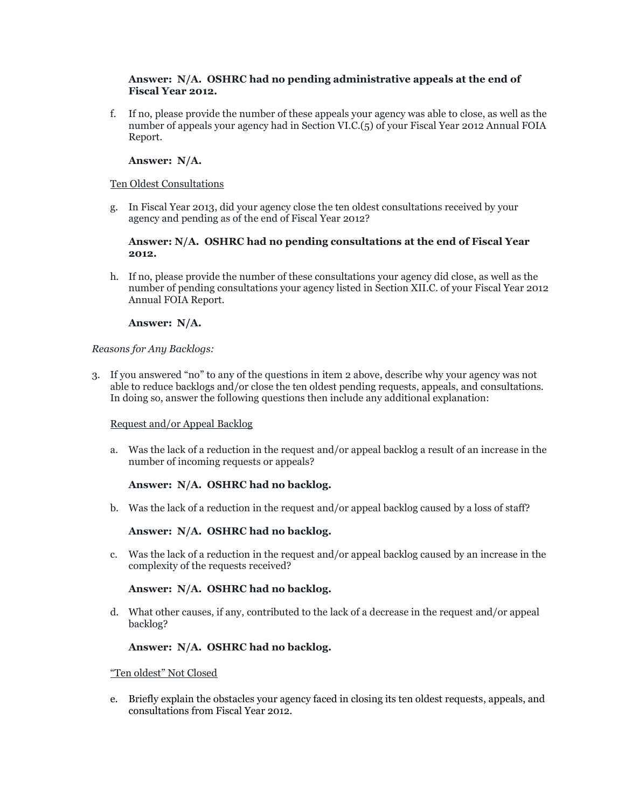#### **Answer: N/A. OSHRC had no pending administrative appeals at the end of Fiscal Year 2012.**

f. If no, please provide the number of these appeals your agency was able to close, as well as the number of appeals your agency had in Section VI.C.(5) of your Fiscal Year 2012 Annual FOIA Report.

# **Answer: N/A.**

#### Ten Oldest Consultations

g. In Fiscal Year 2013, did your agency close the ten oldest consultations received by your agency and pending as of the end of Fiscal Year 2012?

#### **Answer: N/A. OSHRC had no pending consultations at the end of Fiscal Year 2012.**

h. If no, please provide the number of these consultations your agency did close, as well as the number of pending consultations your agency listed in Section XII.C. of your Fiscal Year 2012 Annual FOIA Report.

### **Answer: N/A.**

### *Reasons for Any Backlogs:*

3. If you answered "no" to any of the questions in item 2 above, describe why your agency was not able to reduce backlogs and/or close the ten oldest pending requests, appeals, and consultations. In doing so, answer the following questions then include any additional explanation:

# Request and/or Appeal Backlog

a. Was the lack of a reduction in the request and/or appeal backlog a result of an increase in the number of incoming requests or appeals?

# **Answer: N/A. OSHRC had no backlog.**

b. Was the lack of a reduction in the request and/or appeal backlog caused by a loss of staff?

# **Answer: N/A. OSHRC had no backlog.**

c. Was the lack of a reduction in the request and/or appeal backlog caused by an increase in the complexity of the requests received?

# **Answer: N/A. OSHRC had no backlog.**

d. What other causes, if any, contributed to the lack of a decrease in the request and/or appeal backlog?

#### **Answer: N/A. OSHRC had no backlog.**

#### "Ten oldest" Not Closed

e. Briefly explain the obstacles your agency faced in closing its ten oldest requests, appeals, and consultations from Fiscal Year 2012.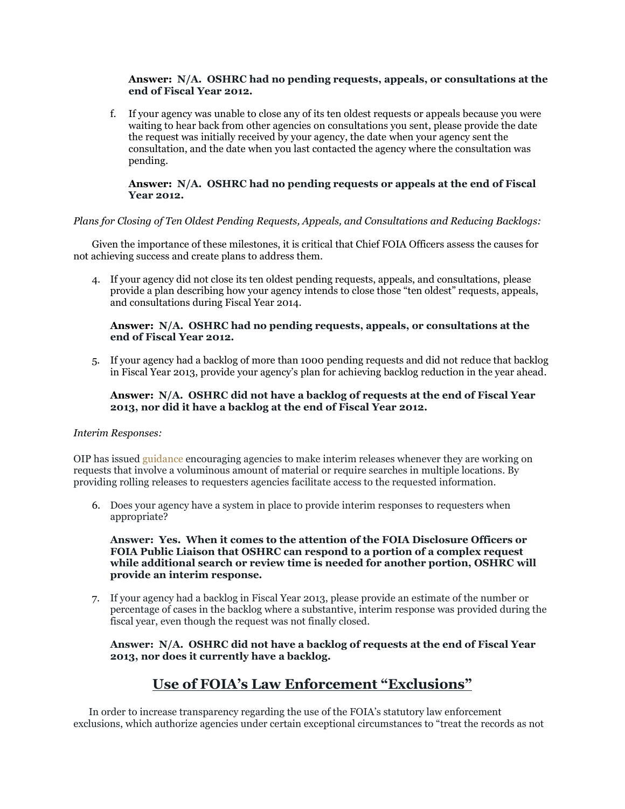#### **Answer: N/A. OSHRC had no pending requests, appeals, or consultations at the end of Fiscal Year 2012.**

f. If your agency was unable to close any of its ten oldest requests or appeals because you were waiting to hear back from other agencies on consultations you sent, please provide the date the request was initially received by your agency, the date when your agency sent the consultation, and the date when you last contacted the agency where the consultation was pending.

### **Answer: N/A. OSHRC had no pending requests or appeals at the end of Fiscal Year 2012.**

### *Plans for Closing of Ten Oldest Pending Requests, Appeals, and Consultations and Reducing Backlogs:*

Given the importance of these milestones, it is critical that Chief FOIA Officers assess the causes for not achieving success and create plans to address them.

4. If your agency did not close its ten oldest pending requests, appeals, and consultations, please provide a plan describing how your agency intends to close those "ten oldest" requests, appeals, and consultations during Fiscal Year 2014.

#### **Answer: N/A. OSHRC had no pending requests, appeals, or consultations at the end of Fiscal Year 2012.**

5. If your agency had a backlog of more than 1000 pending requests and did not reduce that backlog in Fiscal Year 2013, provide your agency's plan for achieving backlog reduction in the year ahead.

#### **Answer: N/A. OSHRC did not have a backlog of requests at the end of Fiscal Year 2013, nor did it have a backlog at the end of Fiscal Year 2012.**

#### *Interim Responses:*

OIP has issued [guidance](http://www.justice.gov/oip/foiapost/2010foiapost5.htm) encouraging agencies to make interim releases whenever they are working on requests that involve a voluminous amount of material or require searches in multiple locations. By providing rolling releases to requesters agencies facilitate access to the requested information.

6. Does your agency have a system in place to provide interim responses to requesters when appropriate?

**Answer: Yes. When it comes to the attention of the FOIA Disclosure Officers or FOIA Public Liaison that OSHRC can respond to a portion of a complex request while additional search or review time is needed for another portion, OSHRC will provide an interim response.**

7. If your agency had a backlog in Fiscal Year 2013, please provide an estimate of the number or percentage of cases in the backlog where a substantive, interim response was provided during the fiscal year, even though the request was not finally closed.

**Answer: N/A. OSHRC did not have a backlog of requests at the end of Fiscal Year 2013, nor does it currently have a backlog.**

# **Use of FOIA's Law Enforcement "Exclusions"**

In order to increase transparency regarding the use of the FOIA's statutory law enforcement exclusions, which authorize agencies under certain exceptional circumstances to "treat the records as not